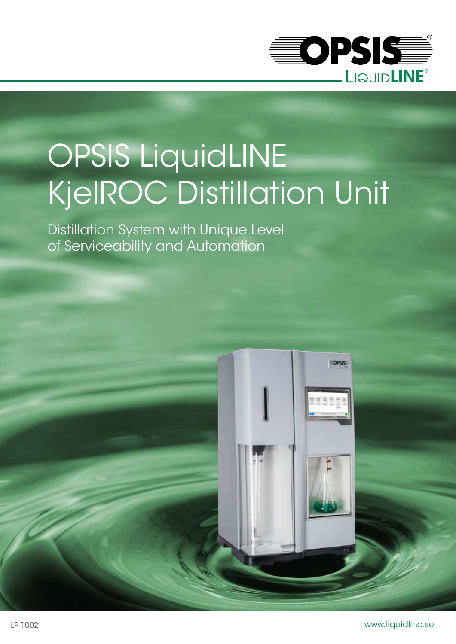

# OPSIS LiquidLINE KjelROC Distillation Unit

Distillation System with Unique Level of Serviceability and Automation

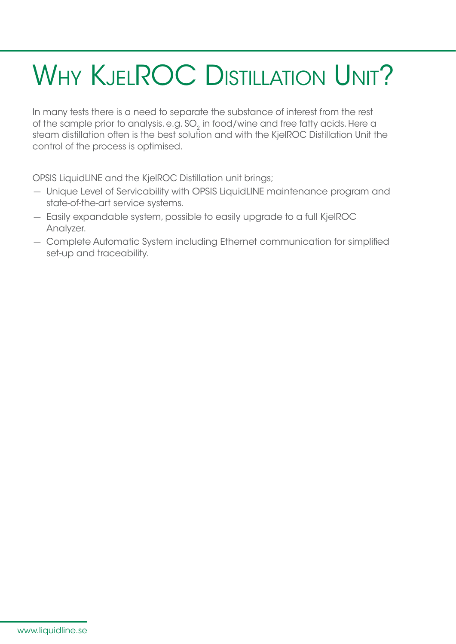## WHY KJELROC DISTILLATION UNIT?

In many tests there is a need to separate the substance of interest from the rest of the sample prior to analysis. e.g. SO<sub>2</sub> in food/wine and free fatty acids. Here a steam distillation often is the best solution and with the KjelROC Distillation Unit the control of the process is optimised.

OPSIS LiquidLINE and the KjelROC Distillation unit brings;

- Unique Level of Servicability with OPSIS LiquidLINE maintenance program and state-of-the-art service systems.
- Easily expandable system, possible to easily upgrade to a full KjelROC Analyzer.
- Complete Automatic System including Ethernet communication for simplified set-up and traceability.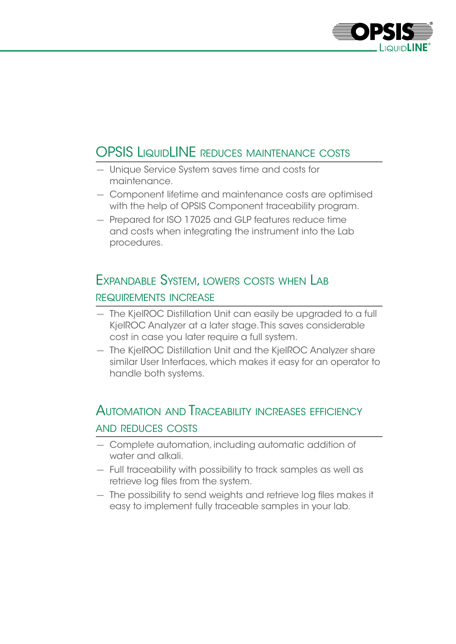

#### OPSIS LIQUIDLINE REDUCES MAINTENANCE COSTS

- Unique Service System saves time and costs for maintenance.
- Component lifetime and maintenance costs are optimised with the help of OPSIS Component traceability program.
- Prepared for ISO 17025 and GLP features reduce time and costs when integrating the instrument into the Lab procedures.

#### Expandable System, lowers costs when Lab requirements increase

- The KjelROC Distillation Unit can easily be upgraded to a full KjelROC Analyzer at a later stage. This saves considerable cost in case you later require a full system.
- The KjelROC Distillation Unit and the KjelROC Analyzer share similar User Interfaces, which makes it easy for an operator to handle both systems.

#### Automation and Traceability increases efficiency and reduces costs

- Complete automation, including automatic addition of water and alkali.
- Full traceability with possibility to track samples as well as retrieve log files from the system.
- The possibility to send weights and retrieve log files makes it easy to implement fully traceable samples in your lab.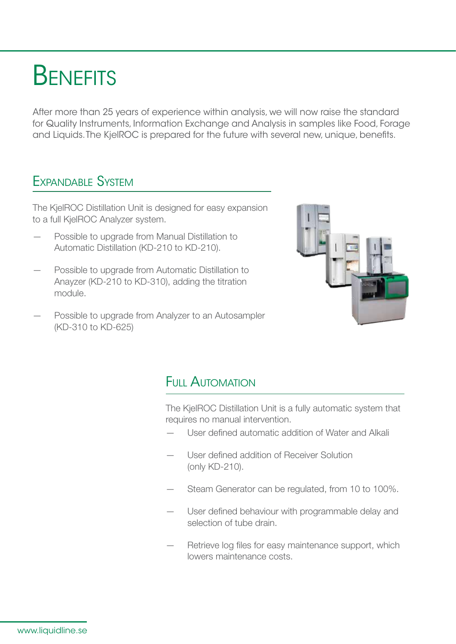### **BENEFITS**

After more than 25 years of experience within analysis, we will now raise the standard for Quality Instruments, Information Exchange and Analysis in samples like Food, Forage and Liquids. The KjelROC is prepared for the future with several new, unique, benefits.

#### Expandable System

The KjelROC Distillation Unit is designed for easy expansion to a full KjelROC Analyzer system.

- Possible to upgrade from Manual Distillation to Automatic Distillation (KD-210 to KD-210).
- Possible to upgrade from Automatic Distillation to Anayzer (KD-210 to KD-310), adding the titration module.
- Possible to upgrade from Analyzer to an Autosampler (KD-310 to KD-625)



#### Full Automation

The KjelROC Distillation Unit is a fully automatic system that requires no manual intervention.

- User defined automatic addition of Water and Alkali
- User defined addition of Receiver Solution (only KD-210).
- Steam Generator can be regulated, from 10 to 100%.
- User defined behaviour with programmable delay and selection of tube drain.
- Retrieve log files for easy maintenance support, which lowers maintenance costs.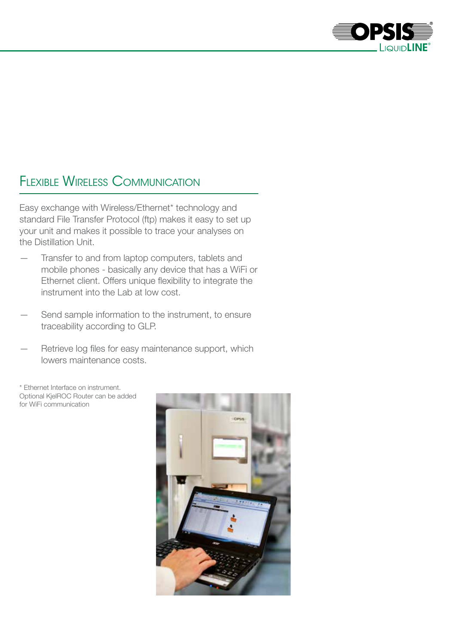

#### Flexible Wireless Communication

Easy exchange with Wireless/Ethernet\* technology and standard File Transfer Protocol (ftp) makes it easy to set up your unit and makes it possible to trace your analyses on the Distillation Unit.

- Transfer to and from laptop computers, tablets and mobile phones - basically any device that has a WiFi or Ethernet client. Offers unique flexibility to integrate the instrument into the Lab at low cost.
- Send sample information to the instrument, to ensure traceability according to GLP.
- Retrieve log files for easy maintenance support, which lowers maintenance costs.

\* Ethernet Interface on instrument. Optional KjelROC Router can be added for WiFi communication

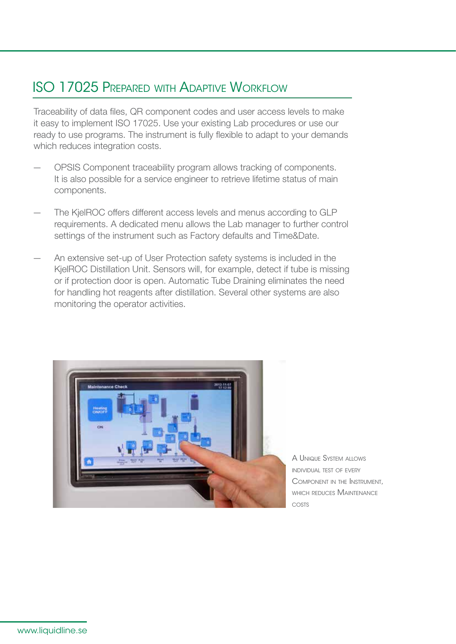#### ISO 17025 Prepared with Adaptive Workflow

Traceability of data files, QR component codes and user access levels to make it easy to implement ISO 17025. Use your existing Lab procedures or use our ready to use programs. The instrument is fully flexible to adapt to your demands which reduces integration costs.

- OPSIS Component traceability program allows tracking of components. It is also possible for a service engineer to retrieve lifetime status of main components.
- The KjelROC offers different access levels and menus according to GLP requirements. A dedicated menu allows the Lab manager to further control settings of the instrument such as Factory defaults and Time&Date.
- An extensive set-up of User Protection safety systems is included in the KjelROC Distillation Unit. Sensors will, for example, detect if tube is missing or if protection door is open. Automatic Tube Draining eliminates the need for handling hot reagents after distillation. Several other systems are also monitoring the operator activities.



A Unique System allows individual test of every Component in the Instrument, which reduces Maintenance costs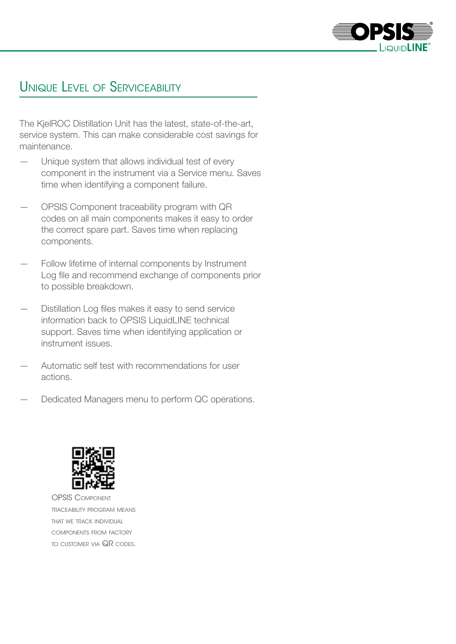

#### Unique Level of Serviceability

The KjelROC Distillation Unit has the latest, state-of-the-art, service system. This can make considerable cost savings for maintenance.

- Unique system that allows individual test of every component in the instrument via a Service menu. Saves time when identifying a component failure.
- OPSIS Component traceability program with QR codes on all main components makes it easy to order the correct spare part. Saves time when replacing components.
- Follow lifetime of internal components by Instrument Log file and recommend exchange of components prior to possible breakdown.
- Distillation Log files makes it easy to send service information back to OPSIS LiquidLINE technical support. Saves time when identifying application or instrument issues.
- Automatic self test with recommendations for user actions.
- Dedicated Managers menu to perform QC operations.



OPSIS Component traceability program means that we track individual components from factory to customer via QR codes.